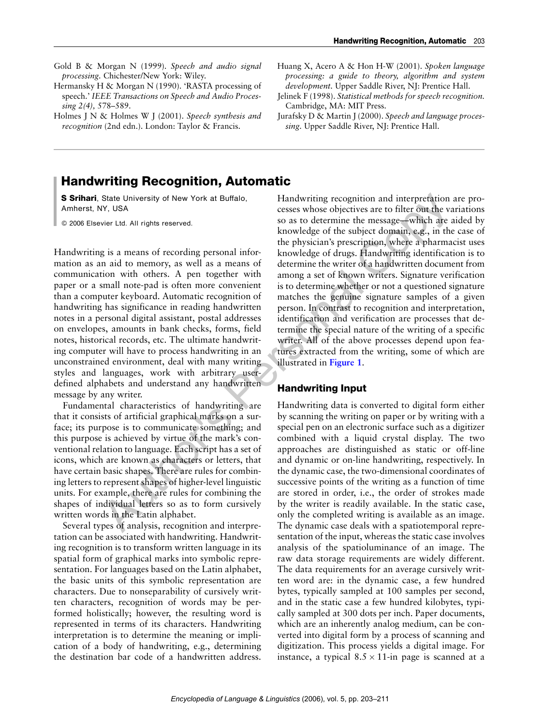- Gold B & Morgan N (1999). Speech and audio signal processing. Chichester/New York: Wiley.
- Hermansky H & Morgan N (1990). 'RASTA processing of speech.' IEEE Transactions on Speech and Audio Processing 2(4), 578–589.
- Holmes J N & Holmes W J (2001). Speech synthesis and recognition (2nd edn.). London: Taylor & Francis.
- Huang X, Acero A & Hon H-W (2001). Spoken language processing: a guide to theory, algorithm and system development. Upper Saddle River, NJ: Prentice Hall.
- Jelinek F (1998). Statistical methods for speech recognition. Cambridge, MA: MIT Press.
- Jurafsky D & Martin J (2000). Speech and language processing. Upper Saddle River, NJ: Prentice Hall.

# Handwriting Recognition, Automatic

S Srihari, State University of New York at Buffalo, Amherst, NY, USA

2006 Elsevier Ltd. All rights reserved.

Handwriting is a means of recording personal information as an aid to memory, as well as a means of communication with others. A pen together with paper or a small note-pad is often more convenient than a computer keyboard. Automatic recognition of handwriting has significance in reading handwritten notes in a personal digital assistant, postal addresses on envelopes, amounts in bank checks, forms, field notes, historical records, etc. The ultimate handwriting computer will have to process handwriting in an unconstrained environment, deal with many writing styles and languages, work with arbitrary userdefined alphabets and understand any handwritten message by any writer.

Fundamental characteristics of handwriting are that it consists of artificial graphical marks on a surface; its purpose is to communicate something; and this purpose is achieved by virtue of the mark's conventional relation to language. Each script has a set of icons, which are known as characters or letters, that have certain basic shapes. There are rules for combining letters to represent shapes of higher-level linguistic units. For example, there are rules for combining the shapes of individual letters so as to form cursively written words in the Latin alphabet.

Several types of analysis, recognition and interpretation can be associated with handwriting. Handwriting recognition is to transform written language in its spatial form of graphical marks into symbolic representation. For languages based on the Latin alphabet, the basic units of this symbolic representation are characters. Due to nonseparability of cursively written characters, recognition of words may be performed holistically; however, the resulting word is represented in terms of its characters. Handwriting interpretation is to determine the meaning or implication of a body of handwriting, e.g., determining the destination bar code of a handwritten address.

State University of New York at Buffalo,<br>  $\mu$  Charactering ecognition and interpretation<br>
W. USA<br>
W. USA<br>
Were Ltd. All rights reserved.<br>
So as to determine the message—which are<br>
ver Ltd. All rights reserved.<br>
So as to Handwriting recognition and interpretation are processes whose objectives are to filter out the variations so as to determine the message—which are aided by knowledge of the subject domain, e.g., in the case of the physician's prescription, where a pharmacist uses knowledge of drugs. Handwriting identification is to determine the writer of a handwritten document from among a set of known writers. Signature verification is to determine whether or not a questioned signature matches the genuine signature samples of a given person. In contrast to recognition and interpretation, identification and verification are processes that determine the special nature of the writing of a specific writer. All of the above processes depend upon features extracted from the writing, some of which are illustrated in Figure 1.

### Handwriting Input

Handwriting data is converted to digital form either by scanning the writing on paper or by writing with a special pen on an electronic surface such as a digitizer combined with a liquid crystal display. The two approaches are distinguished as static or off-line and dynamic or on-line handwriting, respectively. In the dynamic case, the two-dimensional coordinates of successive points of the writing as a function of time are stored in order, i.e., the order of strokes made by the writer is readily available. In the static case, only the completed writing is available as an image. The dynamic case deals with a spatiotemporal representation of the input, whereas the static case involves analysis of the spatioluminance of an image. The raw data storage requirements are widely different. The data requirements for an average cursively written word are: in the dynamic case, a few hundred bytes, typically sampled at 100 samples per second, and in the static case a few hundred kilobytes, typically sampled at 300 dots per inch. Paper documents, which are an inherently analog medium, can be converted into digital form by a process of scanning and digitization. This process yields a digital image. For instance, a typical  $8.5 \times 11$ -in page is scanned at a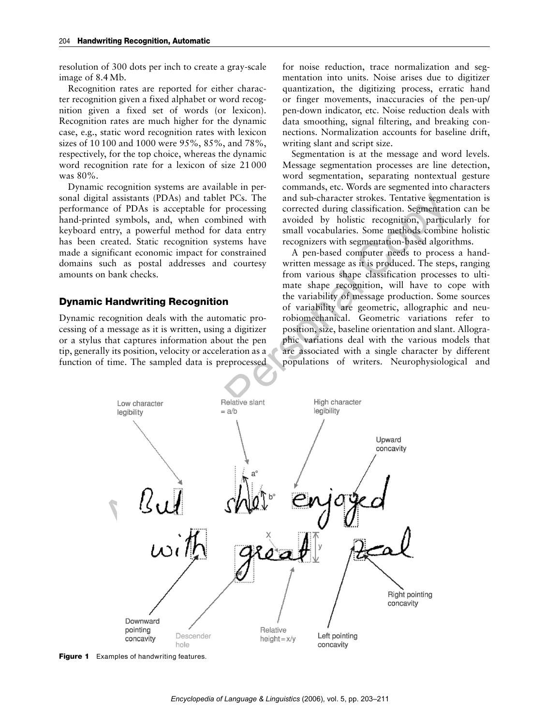<span id="page-1-0"></span>resolution of 300 dots per inch to create a gray-scale image of 8.4 Mb.

Recognition rates are reported for either character recognition given a fixed alphabet or word recognition given a fixed set of words (or lexicon). Recognition rates are much higher for the dynamic case, e.g., static word recognition rates with lexicon sizes of 10 100 and 1000 were 95%, 85%, and 78%, respectively, for the top choice, whereas the dynamic word recognition rate for a lexicon of size 21 000 was 80%.

Dynamic recognition systems are available in personal digital assistants (PDAs) and tablet PCs. The performance of PDAs is acceptable for processing hand-printed symbols, and, when combined with keyboard entry, a powerful method for data entry has been created. Static recognition systems have made a significant economic impact for constrained domains such as postal addresses and courtesy amounts on bank checks.

### Dynamic Handwriting Recognition

Dynamic recognition deals with the automatic processing of a message as it is written, using a digitizer or a stylus that captures information about the pen tip, generally its position, velocity or acceleration as a function of time. The sampled data is preprocessed for noise reduction, trace normalization and segmentation into units. Noise arises due to digitizer quantization, the digitizing process, erratic hand or finger movements, inaccuracies of the pen-up/ pen-down indicator, etc. Noise reduction deals with data smoothing, signal filtering, and breaking connections. Normalization accounts for baseline drift, writing slant and script size.

Segmentation is at the message and word levels. Message segmentation processes are line detection, word segmentation, separating nontextual gesture commands, etc. Words are segmented into characters and sub-character strokes. Tentative segmentation is corrected during classification. Segmentation can be avoided by holistic recognition, particularly for small vocabularies. Some methods combine holistic recognizers with segmentation-based algorithms.

A pen-based computer needs to process a handwritten message as it is produced. The steps, ranging from various shape classification processes to ultimate shape recognition, will have to cope with the variability of message production. Some sources of variability are geometric, allographic and neurobiomechanical. Geometric variations refer to position, size, baseline orientation and slant. Allographic variations deal with the various models that are associated with a single character by different populations of writers. Neurophysiological and



Figure 1 Examples of handwriting features.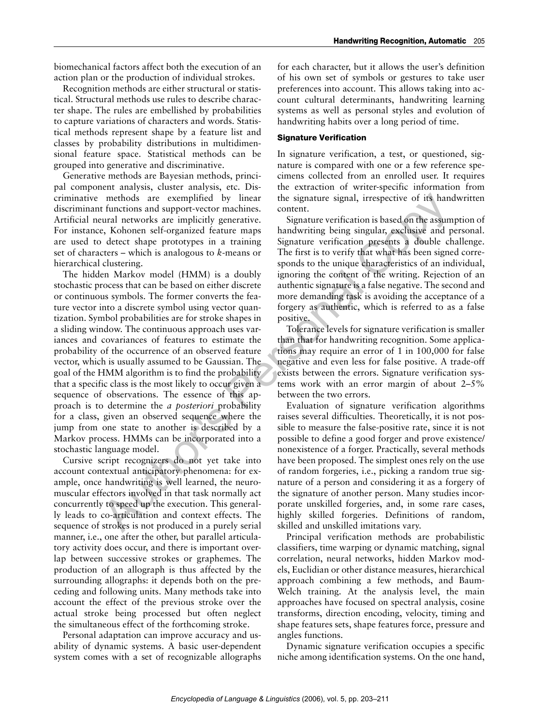biomechanical factors affect both the execution of an action plan or the production of individual strokes.

Recognition methods are either structural or statistical. Structural methods use rules to describe character shape. The rules are embellished by probabilities to capture variations of characters and words. Statistical methods represent shape by a feature list and classes by probability distributions in multidimensional feature space. Statistical methods can be grouped into generative and discriminative.

Generative methods are Bayesian methods, principal component analysis, cluster analysis, etc. Discriminative methods are exemplified by linear discriminant functions and support-vector machines. Artificial neural networks are implicitly generative. For instance, Kohonen self-organized feature maps are used to detect shape prototypes in a training set of characters – which is analogous to  $k$ -means or hierarchical clustering.

methods are exemptified by linear the signature signal, irrespective of its han methods are exemptified by linear exerces. The signature verification is based on the assument functions and support-vector machines. Signatu The hidden Markov model (HMM) is a doubly stochastic process that can be based on either discrete or continuous symbols. The former converts the feature vector into a discrete symbol using vector quantization. Symbol probabilities are for stroke shapes in a sliding window. The continuous approach uses variances and covariances of features to estimate the probability of the occurrence of an observed feature vector, which is usually assumed to be Gaussian. The goal of the HMM algorithm is to find the probability that a specific class is the most likely to occur given a sequence of observations. The essence of this approach is to determine the a posteriori probability for a class, given an observed sequence where the jump from one state to another is described by a Markov process. HMMs can be incorporated into a stochastic language model.

Cursive script recognizers do not yet take into account contextual anticipatory phenomena: for example, once handwriting is well learned, the neuromuscular effectors involved in that task normally act concurrently to speed up the execution. This generally leads to co-articulation and context effects. The sequence of strokes is not produced in a purely serial manner, i.e., one after the other, but parallel articulatory activity does occur, and there is important overlap between successive strokes or graphemes. The production of an allograph is thus affected by the surrounding allographs: it depends both on the preceding and following units. Many methods take into account the effect of the previous stroke over the actual stroke being processed but often neglect the simultaneous effect of the forthcoming stroke.

Personal adaptation can improve accuracy and usability of dynamic systems. A basic user-dependent system comes with a set of recognizable allographs for each character, but it allows the user's definition of his own set of symbols or gestures to take user preferences into account. This allows taking into account cultural determinants, handwriting learning systems as well as personal styles and evolution of handwriting habits over a long period of time.

#### Signature Verification

In signature verification, a test, or questioned, signature is compared with one or a few reference specimens collected from an enrolled user. It requires the extraction of writer-specific information from the signature signal, irrespective of its handwritten content.

Signature verification is based on the assumption of handwriting being singular, exclusive and personal. Signature verification presents a double challenge. The first is to verify that what has been signed corresponds to the unique characteristics of an individual, ignoring the content of the writing. Rejection of an authentic signature is a false negative. The second and more demanding task is avoiding the acceptance of a forgery as authentic, which is referred to as a false positive.

Tolerance levels for signature verification is smaller than that for handwriting recognition. Some applications may require an error of 1 in 100,000 for false negative and even less for false positive. A trade-off exists between the errors. Signature verification systems work with an error margin of about 2–5% between the two errors.

Evaluation of signature verification algorithms raises several difficulties. Theoretically, it is not possible to measure the false-positive rate, since it is not possible to define a good forger and prove existence/ nonexistence of a forger. Practically, several methods have been proposed. The simplest ones rely on the use of random forgeries, i.e., picking a random true signature of a person and considering it as a forgery of the signature of another person. Many studies incorporate unskilled forgeries, and, in some rare cases, highly skilled forgeries. Definitions of random, skilled and unskilled imitations vary.

Principal verification methods are probabilistic classifiers, time warping or dynamic matching, signal correlation, neural networks, hidden Markov models, Euclidian or other distance measures, hierarchical approach combining a few methods, and Baum-Welch training. At the analysis level, the main approaches have focused on spectral analysis, cosine transforms, direction encoding, velocity, timing and shape features sets, shape features force, pressure and angles functions.

Dynamic signature verification occupies a specific niche among identification systems. On the one hand,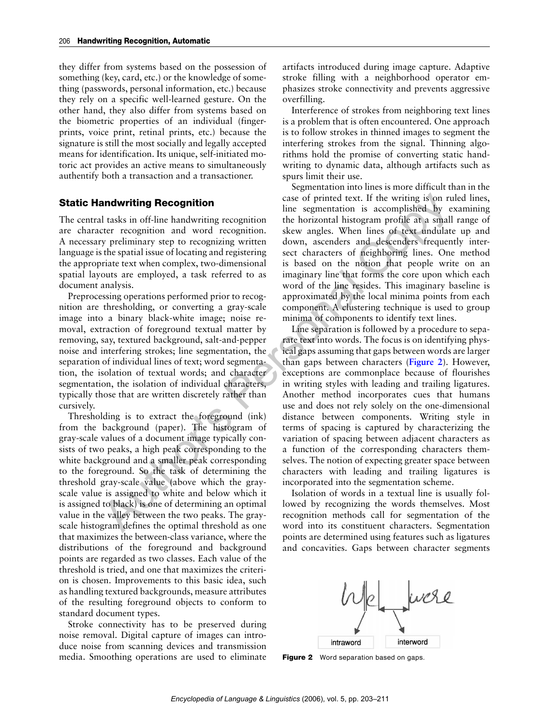they differ from systems based on the possession of something (key, card, etc.) or the knowledge of something (passwords, personal information, etc.) because they rely on a specific well-learned gesture. On the other hand, they also differ from systems based on the biometric properties of an individual (fingerprints, voice print, retinal prints, etc.) because the signature is still the most socially and legally accepted means for identification. Its unique, self-initiated motoric act provides an active means to simultaneously authentify both a transaction and a transactioner.

#### Static Handwriting Recognition

The central tasks in off-line handwriting recognition are character recognition and word recognition. A necessary preliminary step to recognizing written language is the spatial issue of locating and registering the appropriate text when complex, two-dimensional spatial layouts are employed, a task referred to as document analysis.

Preprocessing operations performed prior to recognition are thresholding, or converting a gray-scale image into a binary black-white image; noise removal, extraction of foreground textual matter by removing, say, textured background, salt-and-pepper noise and interfering strokes; line segmentation, the separation of individual lines of text; word segmentation, the isolation of textual words; and character segmentation, the isolation of individual characters, typically those that are written discretely rather than cursively.

Thresholding is to extract the foreground (ink) from the background (paper). The histogram of gray-scale values of a document image typically consists of two peaks, a high peak corresponding to the white background and a smaller peak corresponding to the foreground. So the task of determining the threshold gray-scale value (above which the grayscale value is assigned to white and below which it is assigned to black) is one of determining an optimal value in the valley between the two peaks. The grayscale histogram defines the optimal threshold as one that maximizes the between-class variance, where the distributions of the foreground and background points are regarded as two classes. Each value of the threshold is tried, and one that maximizes the criterion is chosen. Improvements to this basic idea, such as handling textured backgrounds, measure attributes of the resulting foreground objects to conform to standard document types.

Stroke connectivity has to be preserved during noise removal. Digital capture of images can introduce noise from scanning devices and transmission media. Smoothing operations are used to eliminate

artifacts introduced during image capture. Adaptive stroke filling with a neighborhood operator emphasizes stroke connectivity and prevents aggressive overfilling.

Interference of strokes from neighboring text lines is a problem that is often encountered. One approach is to follow strokes in thinned images to segment the interfering strokes from the signal. Thinning algorithms hold the promise of converting static handwriting to dynamic data, although artifacts such as spurs limit their use.

Segmentation into lines is more difficult than in the case of printed text. If the writing is on ruled lines, line segmentation is accomplished by examining the horizontal histogram profile at a small range of skew angles. When lines of text undulate up and down, ascenders and descenders frequently intersect characters of neighboring lines. One method is based on the notion that people write on an imaginary line that forms the core upon which each word of the line resides. This imaginary baseline is approximated by the local minima points from each component. A clustering technique is used to group minima of components to identify text lines.

**andwritting Recognition**<br>
aread primed text. If the writing is on run team of primed in the prime in the tractor recognizion in the berizontal histogram profile at a small y preliminary step to recognizing written down, Line separation is followed by a procedure to separate text into words. The focus is on identifying physical gaps assuming that gaps between words are larger than gaps between characters (Figure 2). However, exceptions are commonplace because of flourishes in writing styles with leading and trailing ligatures. Another method incorporates cues that humans use and does not rely solely on the one-dimensional distance between components. Writing style in terms of spacing is captured by characterizing the variation of spacing between adjacent characters as a function of the corresponding characters themselves. The notion of expecting greater space between characters with leading and trailing ligatures is incorporated into the segmentation scheme.

Isolation of words in a textual line is usually followed by recognizing the words themselves. Most recognition methods call for segmentation of the word into its constituent characters. Segmentation points are determined using features such as ligatures and concavities. Gaps between character segments



Figure 2 Word separation based on gaps.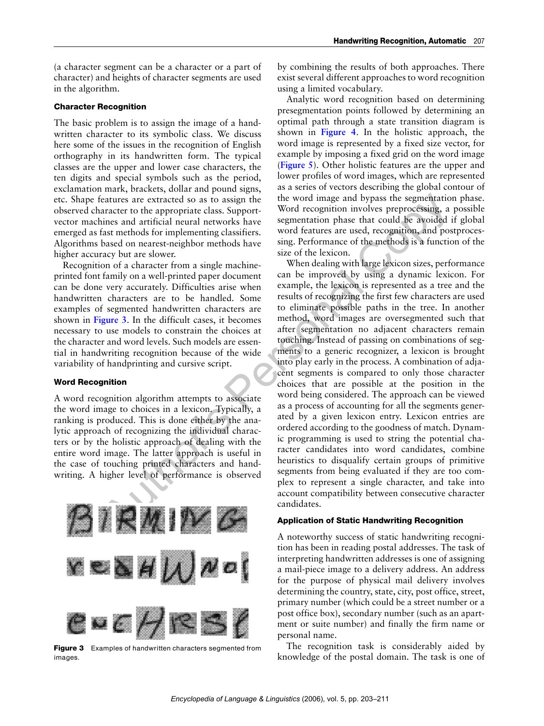(a character segment can be a character or a part of character) and heights of character segments are used in the algorithm.

#### Character Recognition

The basic problem is to assign the image of a handwritten character to its symbolic class. We discuss here some of the issues in the recognition of English orthography in its handwritten form. The typical classes are the upper and lower case characters, the ten digits and special symbols such as the period, exclamation mark, brackets, dollar and pound signs, etc. Shape features are extracted so as to assign the observed character to the appropriate class. Supportvector machines and artificial neural networks have emerged as fast methods for implementing classifiers. Algorithms based on nearest-neighbor methods have higher accuracy but are slower.

Recognition of a character from a single machineprinted font family on a well-printed paper document can be done very accurately. Difficulties arise when handwritten characters are to be handled. Some examples of segmented handwritten characters are shown in Figure 3. In the difficult cases, it becomes necessary to use models to constrain the choices at the character and word levels. Such models are essential in handwriting recognition because of the wide variability of handprinting and cursive script.

#### Word Recognition

A word recognition algorithm attempts to associate the word image to choices in a lexicon. Typically, a ranking is produced. This is done either by the analytic approach of recognizing the individual characters or by the holistic approach of dealing with the entire word image. The latter approach is useful in the case of touching printed characters and handwriting. A higher level of performance is observed



**Figure 3** Examples of handwritten characters segmented from images.

by combining the results of both approaches. There exist several different approaches to word recognition using a limited vocabulary.

Analytic word recognition based on determining presegmentation points followed by determining an optimal path through a state transition diagram is shown in [Figure 4](#page-5-0). In the holistic approach, the word image is represented by a fixed size vector, for example by imposing a fixed grid on the word image ([Figure 5](#page-5-0)). Other holistic features are the upper and lower profiles of word images, which are represented as a series of vectors describing the global contour of the word image and bypass the segmentation phase. Word recognition involves preprocessing, a possible segmentation phase that could be avoided if global word features are used, recognition, and postprocessing. Performance of the methods is a function of the size of the lexicon.

extracted so as to assign the<br>
when word image and bypass the segmentation incolling cases. Support when the appropriate class. Support when the appropriate discussion in the action of the absoluted by the methods have seg When dealing with large lexicon sizes, performance can be improved by using a dynamic lexicon. For example, the lexicon is represented as a tree and the results of recognizing the first few characters are used to eliminate possible paths in the tree. In another method, word images are oversegmented such that after segmentation no adjacent characters remain touching. Instead of passing on combinations of segments to a generic recognizer, a lexicon is brought into play early in the process. A combination of adjacent segments is compared to only those character choices that are possible at the position in the word being considered. The approach can be viewed as a process of accounting for all the segments generated by a given lexicon entry. Lexicon entries are ordered according to the goodness of match. Dynamic programming is used to string the potential character candidates into word candidates, combine heuristics to disqualify certain groups of primitive segments from being evaluated if they are too complex to represent a single character, and take into account compatibility between consecutive character candidates.

#### Application of Static Handwriting Recognition

A noteworthy success of static handwriting recognition has been in reading postal addresses. The task of interpreting handwritten addresses is one of assigning a mail-piece image to a delivery address. An address for the purpose of physical mail delivery involves determining the country, state, city, post office, street, primary number (which could be a street number or a post office box), secondary number (such as an apartment or suite number) and finally the firm name or personal name.

The recognition task is considerably aided by knowledge of the postal domain. The task is one of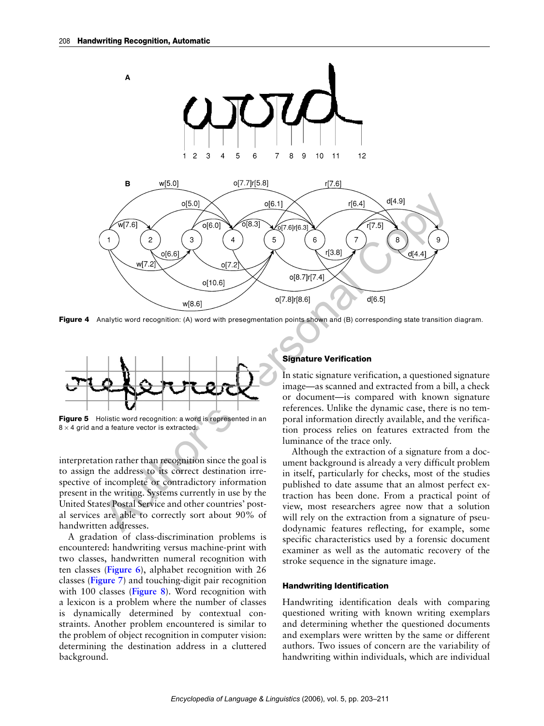<span id="page-5-0"></span>

Figure 4 Analytic word recognition: (A) word with presegmentation points shown and (B) corresponding state transition diagram.



Figure 5 Holistic word recognition: a word is represented in an  $8 \times 4$  grid and a feature vector is extracted.

interpretation rather than recognition since the goal is to assign the address to its correct destination irrespective of incomplete or contradictory information present in the writing. Systems currently in use by the United States Postal Service and other countries' postal services are able to correctly sort about 90% of handwritten addresses.

A gradation of class-discrimination problems is encountered: handwriting versus machine-print with two classes, handwritten numeral recognition with ten classes ([Figure 6](#page-6-0)), alphabet recognition with 26 classes ([Figure 7](#page-6-0)) and touching-digit pair recognition with 100 classes ([Figure 8](#page-6-0)). Word recognition with a lexicon is a problem where the number of classes is dynamically determined by contextual constraints. Another problem encountered is similar to the problem of object recognition in computer vision: determining the destination address in a cluttered background.

#### Signature Verification

In static signature verification, a questioned signature image—as scanned and extracted from a bill, a check or document—is compared with known signature references. Unlike the dynamic case, there is no temporal information directly available, and the verification process relies on features extracted from the luminance of the trace only.

Although the extraction of a signature from a document background is already a very difficult problem in itself, particularly for checks, most of the studies published to date assume that an almost perfect extraction has been done. From a practical point of view, most researchers agree now that a solution will rely on the extraction from a signature of pseudodynamic features reflecting, for example, some specific characteristics used by a forensic document examiner as well as the automatic recovery of the stroke sequence in the signature image.

#### Handwriting Identification

Handwriting identification deals with comparing questioned writing with known writing exemplars and determining whether the questioned documents and exemplars were written by the same or different authors. Two issues of concern are the variability of handwriting within individuals, which are individual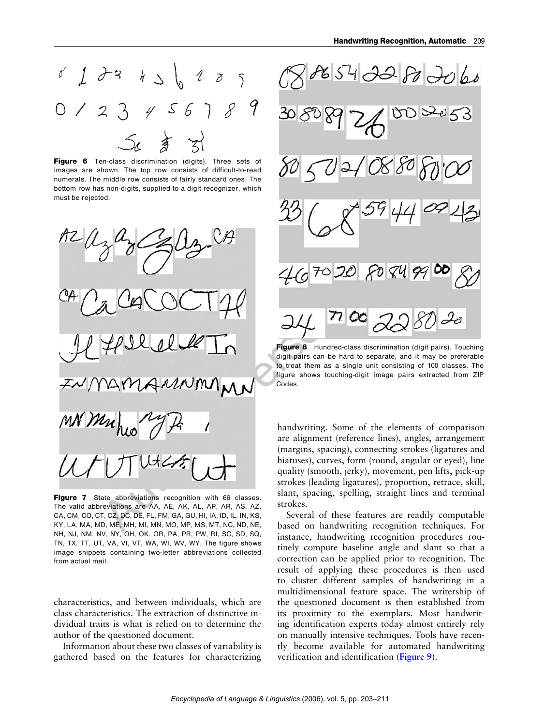<span id="page-6-0"></span>

Figure 6 Ten-class discrimination (digits). Three sets of images are shown. The top row consists of difficult-to-read numerals. The middle row consists of fairly standard ones. The bottom row has non-digits, supplied to a digit recognizer, which must be rejected.



Figure 7 State abbreviations recognition with 66 classes. The valid abbreviations are AA, AE, AK, AL, AP, AR, AS, AZ, CA, CM, CO, CT, CZ, DC, DE, FL, FM, GA, GU, HI, IA, ID, IL, IN, KS, KY, LA, MA, MD, ME, MH, MI, MN, MO, MP, MS, MT, NC, ND, NE, NH, NJ, NM, NV, NY, OH, OK, OR, PA, PR, PW, RI, SC, SD, SQ, TN, TX, TT, UT, VA, VI, VT, WA, WI, WV, WY. The figure shows image snippets containing two-letter abbreviations collected from actual mail.

characteristics, and between individuals, which are class characteristics. The extraction of distinctive individual traits is what is relied on to determine the author of the questioned document.

Information about these two classes of variability is gathered based on the features for characterizing

Figure 8 Hundred-class discrimination (digit pairs). Touching digit pairs can be hard to separate, and it may be preferable to treat them as a single unit consisting of 100 classes. The figure shows touching-digit image pairs extracted from ZIP Codes.

handwriting. Some of the elements of comparison are alignment (reference lines), angles, arrangement (margins, spacing), connecting strokes (ligatures and hiatuses), curves, form (round, angular or eyed), line quality (smooth, jerky), movement, pen lifts, pick-up strokes (leading ligatures), proportion, retrace, skill, slant, spacing, spelling, straight lines and terminal strokes.

Several of these features are readily computable based on handwriting recognition techniques. For instance, handwriting recognition procedures routinely compute baseline angle and slant so that a correction can be applied prior to recognition. The result of applying these procedures is then used to cluster different samples of handwriting in a multidimensional feature space. The writership of the questioned document is then established from its proximity to the exemplars. Most handwriting identification experts today almost entirely rely on manually intensive techniques. Tools have recently become available for automated handwriting verification and identification ([Figure 9](#page-7-0)).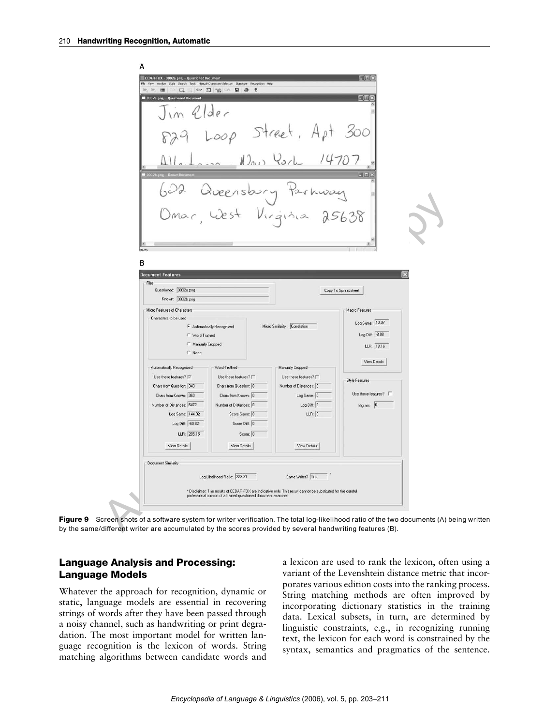<span id="page-7-0"></span>

Figure 9 Screen shots of a software system for writer verification. The total log-likelihood ratio of the two documents (A) being written by the same/different writer are accumulated by the scores provided by several handwriting features (B).

# Language Analysis and Processing: Language Models

Whatever the approach for recognition, dynamic or static, language models are essential in recovering strings of words after they have been passed through a noisy channel, such as handwriting or print degradation. The most important model for written language recognition is the lexicon of words. String matching algorithms between candidate words and

a lexicon are used to rank the lexicon, often using a variant of the Levenshtein distance metric that incorporates various edition costs into the ranking process. String matching methods are often improved by incorporating dictionary statistics in the training data. Lexical subsets, in turn, are determined by linguistic constraints, e.g., in recognizing running text, the lexicon for each word is constrained by the syntax, semantics and pragmatics of the sentence.